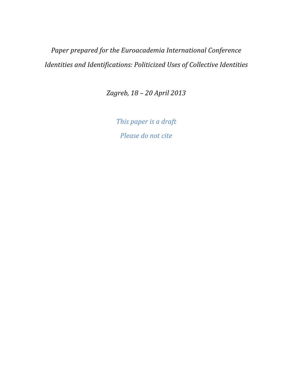Paper prepared for the Euroacademia International Conference Identities and Identifications: Politicized Uses of Collective Identities

Zagreb, 18 – 20 April 2013

This paper is a draft Please do not cite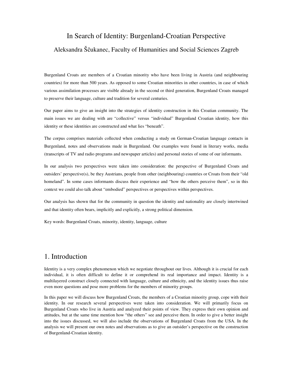# In Search of Identity: Burgenland-Croatian Perspective Aleksandra Ščukanec, Faculty of Humanities and Social Sciences Zagreb

Burgenland Croats are members of a Croatian minority who have been living in Austria (and neighbouring countries) for more than 500 years. As opposed to some Croatian minorities in other countries, in case of which various assimilation processes are visible already in the second or third generation, Burgenland Croats managed to preserve their language, culture and tradition for several centuries.

Our paper aims to give an insight into the strategies of identity construction in this Croatian community. The main issues we are dealing with are "collective" versus "individual" Burgenland Croatian identity, how this identity or these identities are constructed and what lies "beneath".

The corpus comprises materials collected when conducting a study on German-Croatian language contacts in Burgenland, notes and observations made in Burgenland. Our examples were found in literary works, media (transcripts of TV and radio programs and newspaper articles) and personal stories of some of our informants.

In our analysis two perspectives were taken into consideration: the perspective of Burgenland Croats and outsiders' perspective(s), be they Austrians, people from other (neighbouring) countries or Croats from their "old homeland". In some cases informants discuss their experience and "how the others perceive them", so in this context we could also talk about "embodied" perspectives or perspectives within perspectives.

Our analysis has shown that for the community in question the identity and nationality are closely intertwined and that identity often bears, implicitly and explicitly, a strong political dimension.

Key words: Burgenland Croats, minority, identity, language, culture

### 1. Introduction

Identity is a very complex phenomenon which we negotiate throughout our lives. Although it is crucial for each individual, it is often difficult to define it or comprehend its real importance and impact. Identity is a multilayered construct closely connected with language, culture and ethnicity, and the identity issues thus raise even more questions and pose more problems for the members of minority groups.

In this paper we will discuss how Burgenland Croats, the members of a Croatian minority group, cope with their identity. In our research several perspectives were taken into consideration. We will primarily focus on Burgenland Croats who live in Austria and analyzed their points of view. They express their own opinion and attitudes, but at the same time mention how "the others" see and perceive them. In order to give a better insight into the issues discussed, we will also include the observations of Burgenland Croats from the USA. In the analysis we will present our own notes and observations as to give an outsider's perspective on the construction of Burgenland-Croatian identity.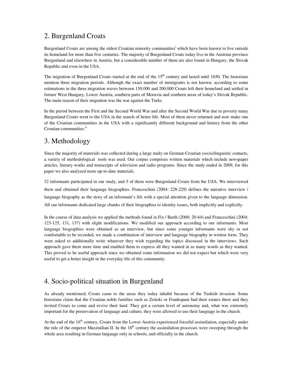## 2. Burgenland Croats

Burgenland Croats are among the oldest Croatian minority communities<sup>i</sup> which have been known to live outside its homeland for more than five centuries. The majority of Burgenland Croats today live in the Austrian province Burgenland and elsewhere in Austria, but a considerable number of them are also found in Hungary, the Slovak Republic and even in the USA.

The migration of Burgenland Croats started at the end of the  $15<sup>th</sup>$  century and lasted until 1650. The historians mention three migration periods. Although the exact number of immigrants is not known, according to some estimations in the three migration waves between 150.000 and 200.000 Croats left their homeland and settled in former West Hungary, Lower Austria, southern parts of Moravia and southern areas of today's Slovak Republic. The main reason of their migration was the war against the Turks.

In the period between the First and the Second World War and after the Second World War due to poverty many Burgenland Croats went to the USA in the search of better life. Most of them never returned and now make one of the Croatian communities in the USA with a significantly different background and history from the other Croatian communities.<sup>ii</sup>

### 3. Methodology

Since the majority of materials was collected during a large study on German-Croatian (socio)linguistic contacts, a variety of methodological tools was used. Our corpus comprises written materials which include newspaper articles, literary works and transcripts of television and radio programs. Since the study ended in 2009, for this paper we also analyzed more up-to-date materials.

32 informants participated in our study, and 5 of them were Burgenland Croats from the USA. We interviewed them and obtained their language biographies. Franceschini (2004: 228-229) defines the narrative interview / language biography as the story of an informant's life with a special attention given to the language dimension. All our informants dedicated large chunks of their biographies to identity issues, both implicitly and explicitly.

In the course of data analysis we applied the methods found in Fix / Barth (2000: 20-64) and Franceschini (2004: 123-125, 131, 137) with slight modifications. We modified our approach according to our informants. Most language biographies were obtained as an interview, but since some younger informants were shy or not comfortable to be recorded, we made a combination of interview and language biography in written form. They were asked to additionally write whatever they wish regarding the topics discussed in the interviews. Such approach gave them more time and enabled them to express all they wanted in as many words as they wanted. This proved to be useful approach since we obtained some information we did not expect but which were very useful to get a better insight in the everyday life of this community.

## 4. Socio-political situation in Burgenland

As already mentioned, Croats came to the areas they today inhabit because of the Turkish invasion. Some historians claim that the Croatian noble families such as Zrinski or Frankopani had their estates there and they invited Croats to come and revive their land. They got a certain level of autonomy and, what was extremely important for the preservation of language and culture, they were allowed to use their language in the church.

At the end of the  $16<sup>th</sup>$  century, Croats from the Lower Austria experienced forceful assimilation, especially under the rule of the emperor Maximilian II. In the  $18<sup>th</sup>$  century the assimilation processes were sweeping through the whole area resulting in German language only in schools, and officially in the church.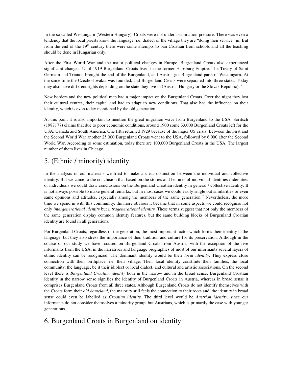In the so called Westungarn (Western Hungary), Croats were not under assimilation pressure. There was even a tendency that the local priests know the language, i.e. dialect of the village they are "doing their service" in. But from the end of the  $19<sup>th</sup>$  century there were some attempts to ban Croatian from schools and all the teaching should be done in Hungarian only.

After the First World War and the major political changes in Europe, Burgenland Croats also experienced significant changes. Until 1919 Burgenland Croats lived in the former Habsburg Empire. The Treaty of Saint Germain and Trianon brought the end of the Burgenland, and Austria got Burgenland parts of Westungarn. At the same time the Czechoslovakia was founded, and Burgenland Croats were separated into three states. Today they also have different rights depending on the state they live in (Austria, Hungary or the Slovak Republic).<sup>iii</sup>

New borders and the new political map had a major impact on the Burgenland Croats. Over the night they lost their cultural centres, their capital and had to adapt to new conditions. That also had the influence on their identity, which is even today mentioned by the old generation.

At this point it is also important to mention the great migration wave from Burgenland to the USA. Soritsch (1987: 77) claims that due to poor economic conditions, around 1900 some 33.000 Burgenland Croats left for the USA, Canada and South America. One fifth returned 1929 because of the major US crisis. Between the First and the Second World War another 25.000 Burgenland Croats went to the USA, followed by 6.000 after the Second World War. According to some estimation, today there are 100.000 Burgenland Croats in the USA. The largest number of them lives in Chicago.

# 5. (Ethnic / minority) identity

In the analysis of our materials we tried to make a clear distinction between the individual and collective identity. But we came to the conclusion that based on the stories and features of individual identities / identities of individuals we could draw conclusions on the Burgenland Croatian identity in general / collective identity. It is not always possible to make general remarks, but in most cases we could easily single out similarities or even same opinions and attitudes, especially among the members of the same generation.<sup>iv</sup> Nevertheless, the more time we spend in with this community, the more obvious it became that in some aspects we could recognise not only *intergenerational identity* but *intragenerational identity.* These terms suggest that not only the members of the same generation display common identity features, but the same building blocks of Burgenland Croatian identity are found in all generations.

For Burgenland Croats, regardless of the generation, the most important factor which forms their identity is the language, but they also stress the importance of their tradition and culture for its preservation. Although in the course of our study we have focused on Burgenland Croats from Austria, with the exception of the five informants from the USA, in the narratives and language biographies of most of our informants several layers of ethnic identity can be recognized. The dominant identity would be their *local identity*. They express close connection with their birthplace, i.e. their village. Their local identity constitute their families, the local community, the language, be it their idiolect or local dialect, and cultural and artistic associations. On the second level there is *Burgenland Croatian identity* both in the narrow and in the broad sense. Burgenland Croatian identity in the narrow sense signifies the identity of Burgenland Croats in Austria, whereas in broad sense it comprises Burgenland Croats from all three states. Although Burgenland Croats do not identify themselves with the Croats form their *old homeland*, the majority still feels the connection to their roots and, the identity in broad sense could even be labelled as *Croatian identity*. The third level would be *Austrian identity*, since our informants do not consider themselves a minority group, but Austrians, which is primarily the case with younger generations.

# 6. Burgenland Croats in Burgenland on identity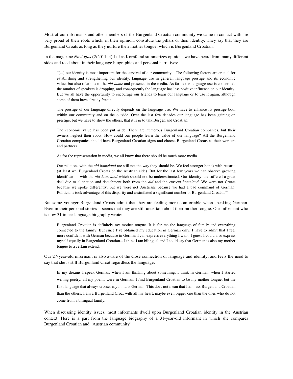Most of our informants and other members of the Burgenland Croatian community we came in contact with are very proud of their roots which, in their opinion, constitute the pillars of their identity. They say that they are Burgenland Croats as long as they nurture their mother tongue, which is Burgenland Croatian.

In the magazine *Novi glas* (2/2011: 4) Lukas Kornfeind summarizes opinions we have heard from many different sides and read about in their language biographies and personal narratives:

"[...] our identity is most important for the survival of our community... The following factors are crucial for establishing and strengthening our identity: language use in general, language prestige and its economic value, but also relations to the *old home* and presence in the media. As far as the language use is concerned, the number of speakers is dropping, and consequently the language has less positive influence on our identity. But we all have the opportunity to encourage our friends to learn our language or to use it again, although some of them have already *lost* it.

The prestige of our language directly depends on the language use. We have to enhance its prestige both within our community and on the outside. Over the last few decades our language has been gaining on prestige, but we have to show the others, that it is *in* to talk Burgenland Croatian.

The economic value has been put aside. There are numerous Burgenland Croatian companies, but their owners neglect their roots. How could our people learn the value of our language? All the Burgenland Croatian companies should have Burgenland Croatian signs and choose Burgenland Croats as their workers and partners.

As for the representation in media, we all know that there should be much more media.

Our relations with the *old homeland* are still not the way they should be. We feel stronger bonds with Austria (at least we, Burgenland Croats on the Austrian side). But for the last few years we can observe growing identification with the *old homeland* which should not be underestimated. Our identity has suffered a great deal due to alienation and detachment both from the *old* and the *current homeland*. We were not Croats because we spoke differently, but we were not Austrians because we had a bad command of German. Politicians took advantage of this disparity and assimilated a significant number of Burgenland Croats..."<sup>v</sup>

But some younger Burgenland Croats admit that they are feeling more comfortable when speaking German. Even in their personal stories it seems that they are still uncertain about their mother tongue. Our informant who is now 31 in her language biography wrote:

Burgenland Croatian is definitely my mother tongue. It is for me the language of family and everything connected to the family. But since I've obtained my education in German only, I have to admit that I feel more confident with German because in German I can express everything I want. I guess I could also express myself equally in Burgenland Croatian... I think I am bilingual and I could say that German is also my mother tongue to a certain extend.

Our 27-year-old informant is also aware of the close connection of language and identity, and feels the need to say that she is still Burgenland Croat regardless the language:

In my dreams I speak German, when I am thinking about something, I think in German, when I started writing poetry, all my poems were in German. I find Burgenland Croatian to be my mother tongue, but the first language that always crosses my mind is German. This does not mean that I am less Burgenland Croatian than the others. I am a Burgenland Croat with all my heart, maybe even bigger one than the ones who do not come from a bilingual family.

When discussing identity issues, most informants dwell upon Burgenland Croatian identity in the Austrian context. Here is a part from the language biography of a 31-year-old informant in which she compares Burgenland Croatian and "Austrian community".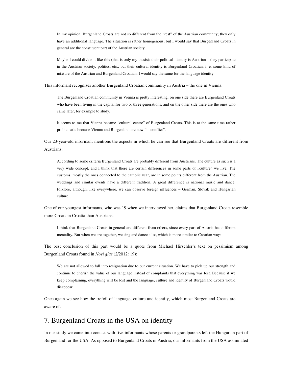In my opinion, Burgenland Croats are not so different from the "rest" of the Austrian community; they only have an additional language. The situation is rather homogenous, but I would say that Burgenland Croats in general are the constituent part of the Austrian society.

Maybe I could divide it like this (that is only my thesis): their political identity is Austrian – they participate in the Austrian society, politics, etc., but their cultural identity is Burgenland Croatian, i. e. some kind of mixture of the Austrian and Burgenland Croatian. I would say the same for the language identity.

This informant recognises another Burgenland Croatian community in Austria – the one in Vienna.

The Burgenland Croatian community in Vienna is pretty interesting: on one side there are Burgenland Croats who have been living in the capital for two or three generations, and on the other side there are the ones who came later, for example to study.

It seems to me that Vienna became "cultural centre" of Burgenland Croats. This is at the same time rather problematic because Vienna and Burgenland are now "in conflict".

Our 23-year-old informant mentions the aspects in which he can see that Burgenland Croats are different from Austrians:

According to some criteria Burgenland Croats are probably different from Austrians. The culture as such is a very wide concept, and I think that there are certain differences in some parts of "culture" we live. The customs, mostly the ones connected to the catholic year, are in some points different from the Austrian. The weddings and similar events have a different tradition. A great difference is national music and dance, folklore, although, like everywhere, we can observe foreign influences – German, Slovak and Hungarian culture...

One of our youngest informants, who was 19 when we interviewed her, claims that Burgenland Croats resemble more Croats in Croatia than Austrians.

I think that Burgenland Croats in general are different from others, since every part of Austria has different mentality. But when we are together, we sing and dance a lot, which is more similar to Croatian ways.

The best conclusion of this part would be a quote from Michael Hirschler's text on pessimism among Burgenland Croats found in *Novi glas* (2/2012: 19):

We are not allowed to fall into resignation due to our current situation. We have to pick up our strength and continue to cherish the value of our language instead of complaints that everything was lost. Because if we keep complaining, everything will be lost and the language, culture and identity of Burgenland Croats would disappear.

Once again we see how the trefoil of language, culture and identity, which most Burgenland Croats are aware of.

#### 7. Burgenland Croats in the USA on identity

In our study we came into contact with five informants whose parents or grandparents left the Hungarian part of Burgenland for the USA. As opposed to Burgenland Croats in Austria, our informants from the USA assimilated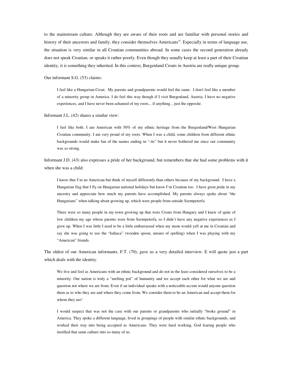to the mainstream culture. Although they are aware of their roots and are familiar with personal stories and history of their ancestors and family, they consider themselves Americans<sup>vi</sup>. Especially in terms of language use, the situation is very similar in all Croatian communities abroad. In some cases the second generation already does not speak Croatian, or speaks it rather poorly. Even though they usually keep at least a part of their Croatian identity, it is something they inherited. In this context, Burgenland Croats in Austria are really unique group.

Our informant S.G. (53) claims:

I feel like a Hungarian-Croat. My parents and grandparents would feel the same. I don't feel like a member of a minority group in America. I do feel this way though if I visit Burgenland, Austria. I have no negative experiences, and I have never been ashamed of my roots... if anything... just the opposite.

Informant J.L. (42) shares a similar view:

I feel like both. I am American with 50% of my ethnic heritage from the Burgenland/West Hungarian Croatian community. I am very proud of my roots. When I was a child, some children from different ethnic backgrounds would make fun of the names ending in "-its" but it never bothered me since our community was so strong.

Informant J.D. (43) also expresses a pride of her background, but remembers that she had some problems with it when she was a child:

I know that I'm an American but think of myself differently than others because of my background. I have a Hungarian flag that I fly on Hungarian national holidays but know I'm Croatian too. I have great pride in my ancestry and appreciate how much my parents have accomplished. My parents always spoke about "the Hungarians" when talking about growing up, which were people from outside Szentpeterfa.

There were so many people in my town growing up that were Croats from Hungary and I knew of quite of few children my age whose parents were from Szentpeterfa, so I didn't have any negative experiences as I grew up. When I was little I used to be a little embarrassed when my mom would yell at me in Croatian and say she was going to use the "kuhaca" (wooden spoon, unsure of spelling) when I was playing with my "American" friends.

The oldest of our American informants, F.T. (70), gave us a very detailed interview. E will quote just a part which deals with the identity.

We live and feel as Americans with an ethnic background and do not in the least considered ourselves to be a minority. Our nation is truly a "melting pot" of humanity and we accept each other for what we are and question not where we are from. Even if an individual speaks with a noticeable accent would anyone question them as to who they are and where they come from. We consider them to be an American and accept them for whom they are!

I would suspect that was not the case with our parents or grandparents who initially "broke ground" in America. They spoke a different language, lived in groupings of people with similar ethnic backgrounds, and worked their way into being accepted as Americans. They were hard working, God fearing people who instilled that same culture into so many of us.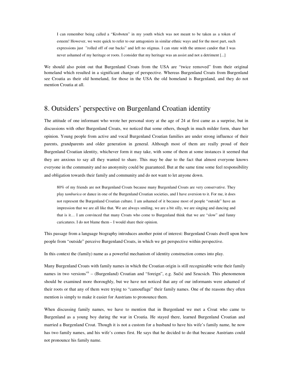I can remember being called a "Kroboten" in my youth which was not meant to be taken as a token of esteem! However, we were quick to refer to our antagonists in similar ethnic ways and for the most part, such expressions just "rolled off of our backs" and left no stigmas. I can state with the utmost candor that I was never ashamed of my heritage or roots. I consider that my heritage was an assist and not a detriment [...]

We should also point out that Burgenland Croats from the USA are "twice removed" from their original homeland which resulted in a significant change of perspective. Whereas Burgenland Croats from Burgenland see Croatia as their old homeland, for those in the USA the old homeland is Burgenland, and they do not mention Croatia at all.

### 8. Outsiders' perspective on Burgenland Croatian identity

The attitude of one informant who wrote her personal story at the age of 24 at first came as a surprise, but in discussions with other Burgenland Croats, we noticed that some others, though in much milder form, share her opinion. Young people from active and vocal Burgenland Croatian families are under strong influence of their parents, grandparents and older generation in general. Although most of them are really proud of their Burgenland Croatian identity, whichever form it may take, with some of them at some instances it seemed that they are anxious to say all they wanted to share. This may be due to the fact that almost everyone knows everyone in the community and no anonymity could be guaranteed. But at the same time some feel responsibility and obligation towards their family and community and do not want to let anyone down.

80% of my friends are not Burgenland Croats because many Burgenland Croats are very conservative. They play *tamburica* or dance in one of the Burgenland Croatian societies, and I have aversion to it. For me, it does not represent the Burgenland Croatian culture. I am ashamed of it because most of people "outside" have an impression that we are all like that. We are always smiling, we are a bit silly, we are singing and dancing and that is it… I am convinced that many Croats who come to Burgenland think that we are "slow" and funny caricatures. I do not blame them – I would share their opinion.

This passage from a language biography introduces another point of interest: Burgenland Croats dwell upon how people from "outside" perceive Burgenland Croats, in which we get perspective within perspective.

In this context the (family) name as a powerful mechanism of identity construction comes into play.

Many Burgenland Croats with family names in which the Croatian origin is still recognizable write their family names in two versions<sup>vii</sup> – (Burgenland) Croatian and "foreign", e.g. Sučić and Szucsich. This phenomenon should be examined more thoroughly, but we have not noticed that any of our informants were ashamed of their roots or that any of them were trying to "camouflage" their family names. One of the reasons they often mention is simply to make it easier for Austrians to pronounce them.

When discussing family names, we have to mention that in Burgenland we met a Croat who came to Burgenland as a young boy during the war in Croatia. He stayed there, learned Burgenland Croatian and married a Burgenland Croat. Though it is not a custom for a husband to have his wife's family name, he now has two family names, and his wife's comes first. He says that he decided to do that because Austrians could not pronounce his family name.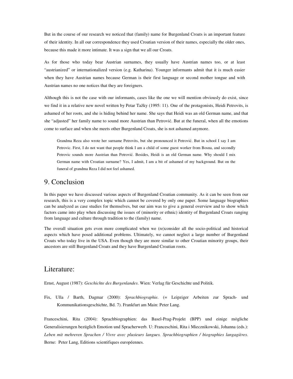But in the course of our research we noticed that (family) name for Burgenland Croats is an important feature of their identity. In all our correspondence they used Croatian version of their names, especially the older ones, because this made it more intimate. It was a sign that we all our Croats.

As for those who today bear Austrian surnames, they usually have Austrian names too, or at least "austrianized" or internationalized version (e.g. Katharina). Younger informants admit that it is much easier when they have Austrian names because German is their first language or second mother tongue and with Austrian names no one notices that they are foreigners.

Although this is not the case with our informants, cases like the one we will mention obviously do exist, since we find it in a relative new novel written by Petar Tažky (1995: 11). One of the protagonists, Heidi Petrovits, is ashamed of her roots, and she is hiding behind her name. She says that Heidi was an old German name, and that she "adjusted" her family name to sound more Austrian than Petrović. But at the funeral, when all the emotions come to surface and when she meets other Burgenland Croats, she is not ashamed anymore.

Grandma Reza also wrote her surname Petrovits, but she pronounced it Petrović. But in school I say I am Petrovic. First, I do not want that people think I am a child of some guest worker from Bosna, and secondly Petrovic sounds more Austrian than Petrović. Besides, Heidi is an old German name. Why should I mix German name with Croatian surname? Yes, I admit, I am a bit of ashamed of my background. But on the funeral of grandma Reza I did not feel ashamed.

### 9. Conclusion

In this paper we have discussed various aspects of Burgenland Croatian community. As it can be seen from our research, this is a very complex topic which cannot be covered by only one paper. Some language biographies can be analyzed as case studies for themselves, but our aim was to give a general overview and to show which factors came into play when discussing the issues of (minority or ethnic) identity of Burgenland Croats ranging from language and culture through tradition to the (family) name.

The overall situation gets even more complicated when we (re)consider all the socio-political and historical aspects which have posed additional problems. Ultimately, we cannot neglect a large number of Burgenland Croats who today live in the USA. Even though they are more similar to other Croatian minority groups, their ancestors are still Burgenland Croats and they have Burgenland Croatian roots.

#### Literature:

Ernst, August (1987): *Geschichte des Burgenlandes*. Wien: Verlag für Geschichte und Politik.

Fix, Ulla / Barth, Dagmar (2000): *Sprachbiographie.* (= Leipziger Arbeiten zur Sprach- und Kommunikationsgeschichte, Bd. 7). Frankfurt am Main: Peter Lang.

Franceschini, Rita (2004): Sprachbiographien: das Basel-Prag-Projekt (BPP) und einige mögliche Generalisierungen bezüglich Emotion und Spracherwerb. U: Franceschini, Rita i Miecznikowski, Johanna (eds.): *Leben mit mehreren Sprachen / Vivre avec plusieurs langues. Sprachbiographien / biographies langagières*. Berne: Peter Lang, Editions scientifiques européennes.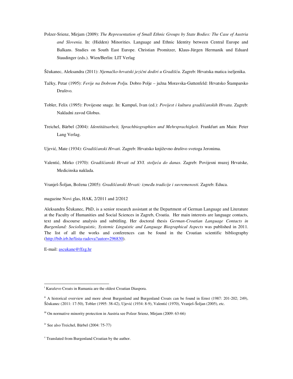- Polzer-Srienz, Mirjam (2009): *The Representation of Small Ethnic Groups by State Bodies: The Case of Austria and Slovenia*. In: (Hidden) Minorities. Language and Ethnic Identity between Central Europe and Balkans. Studies on South East Europe. Christian Promitzer, Klaus-Jürgen Hermanik und Eduard Staudinger (eds.). Wien/Berlin: LIT Verlag
- Ščukanec, Aleksandra (2011): *Njema*č*ko-hrvatski jezi*č*ni dodiri u Gradiš*ć*u.* Zagreb: Hrvatska matica iseljenika.
- Tažky, Petar (1995): *Ferije na Dobrom Polju.* Dobro Polje južna Moravska-Guttenfeld: Hrvatsko Štamparsko Društvo.
- Tobler, Felix (1995): Povijesne snage. In: Kampuš, Ivan (ed.): *Povijest i kultura gradiš*ć*anskih Hrvata*. Zagreb: Nakladni zavod Globus.
- Treichel, Bärbel (2004): *Identitätsarbeit, Sprachbiographien und Mehrsprachigkeit.* Frankfurt am Main: Peter Lang Verlag.

Ujević, Mate (1934): *Gradiš*ć*anski Hrvati*. Zagreb: Hrvatsko književno društvo svetoga Jeronima.

Valentić, Mirko (1970): *Gradiš*ć*anski Hrvati od XVI. stolje*ć*a do danas*. Zagreb: Povijesni muzej Hrvatske, Medicinska naklada.

Vranješ-Šoljan, Božena (2005): *Gradiš*ć*anski Hrvati: izme*đ*u tradicije i suvremenosti*. Zagreb: Educa.

magazine Novi glas, HAK, 2/2011 and 2/2012

Aleksandra Ščukanec, PhD, is a senior research assistant at the Department of German Language and Literature at the Faculty of Humanities and Social Sciences in Zagreb, Croatia. Her main interests are language contacts, text and discourse analysis and subtitling. Her doctoral thesis *German-Croatian Language Contacts in Burgenland: Sociolinguistic, Systemic Linguistic and Language Biographical Aspects* was published in 2011. The list of all the works and conferences can be found in the Croatian scientific bibliography (http://bib.irb.hr/lista-radova?autor=296830).

E-mail: ascukane@ffzg.hr

 $\overline{a}$ 

<sup>&</sup>lt;sup>i</sup> Karaševo Croats in Rumania are the oldest Croatian Diaspora.

<sup>&</sup>lt;sup>ii</sup> A historical overview and more about Burgenland and Burgenland Croats can be found in Ernst (1987: 201-202; 249), Ščukanec (2011: 17-50), Tobler (1995: 38-42), Ujević (1934: 8-9), Valentić (1970), Vranješ-Šoljan (2005), etc.

iii On normative minority protection in Austria see Polzer Srienz, Mirjam (2009: 63-66)

iv See also Treichel, Bärbel (2004: 75-77)

v Translated from Burgenland Croatian by the author.